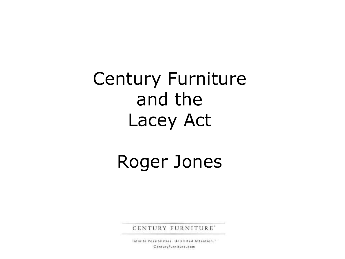Century Furniture and the Lacey Act

### Roger Jones

CENTURY FURNITURE'

Infinite Possibilities, Unlimited Attention." CenturyFurniture.com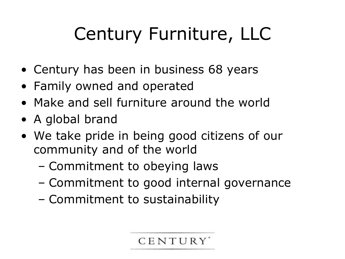# Century Furniture, LLC

- Century has been in business 68 years
- Family owned and operated
- Make and sell furniture around the world
- A global brand
- We take pride in being good citizens of our community and of the world
	- Commitment to obeying laws
	- Commitment to good internal governance
	- Commitment to sustainability

CENTURY'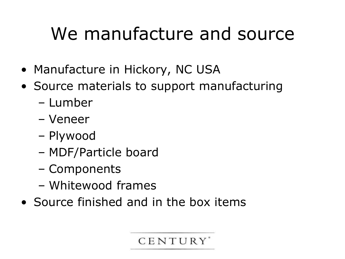### We manufacture and source

- Manufacture in Hickory, NC USA
- Source materials to support manufacturing
	- Lumber
	- Veneer
	- Plywood
	- MDF/Particle board
	- Components
	- Whitewood frames
- Source finished and in the box items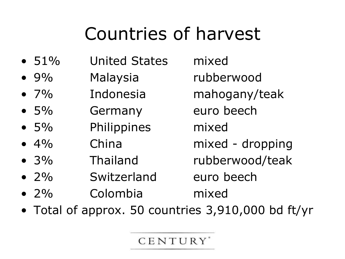## Countries of harvest

- 51% United States mixed
- 9% Malaysia rubberwood
- 7% Indonesia mahogany/teak
- 5% Germany euro beech
- 5% Philippines mixed
- 4% China mixed dropping
- 3% Thailand rubberwood/teak
- 2% Switzerland euro beech
- 2% Colombia mixed
- Total of approx. 50 countries 3,910,000 bd ft/yr

CENTURY<sup>'</sup>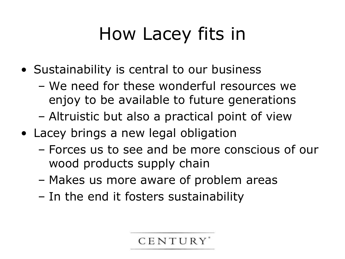# How Lacey fits in

- Sustainability is central to our business
	- We need for these wonderful resources we enjoy to be available to future generations
	- Altruistic but also a practical point of view
- Lacey brings a new legal obligation
	- Forces us to see and be more conscious of our wood products supply chain
	- Makes us more aware of problem areas
	- In the end it fosters sustainability

**CENTURY**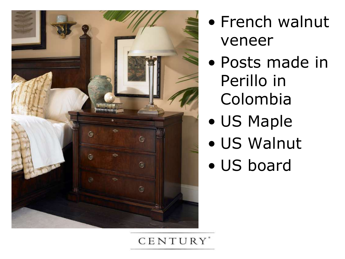

- French walnut veneer
- Posts made in Perillo in Colombia
	- US Maple
	- US Walnut
	- US board

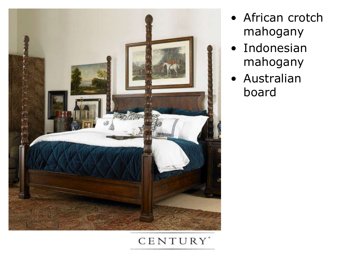

- African crotch mahogany
- Indonesian mahogany
- Australian board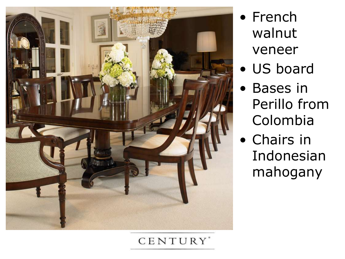

- French walnut veneer
- US board
- Bases in Perillo from Colombia
- Chairs in Indonesian mahogany

#### CENTURY'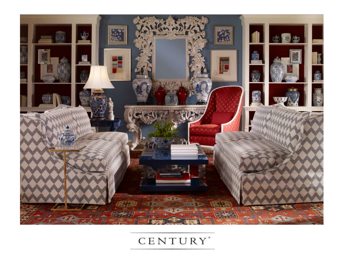

#### CENTURY<sup>\*</sup>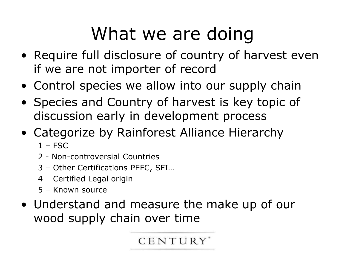### What we are doing

- Require full disclosure of country of harvest even if we are not importer of record
- Control species we allow into our supply chain
- Species and Country of harvest is key topic of discussion early in development process
- Categorize by Rainforest Alliance Hierarchy
	- $1 FSC$
	- 2 Non-controversial Countries
	- 3 Other Certifications PEFC, SFI…
	- 4 Certified Legal origin
	- 5 Known source
- Understand and measure the make up of our wood supply chain over time

CENTURY<sup>'</sup>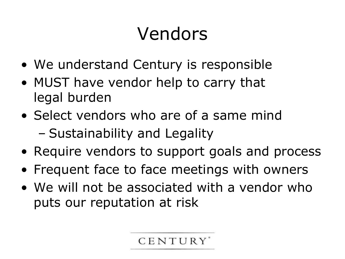## Vendors

- We understand Century is responsible
- MUST have vendor help to carry that legal burden
- Select vendors who are of a same mind
	- Sustainability and Legality
- Require vendors to support goals and process
- Frequent face to face meetings with owners
- We will not be associated with a vendor who puts our reputation at risk

**CENTURY**